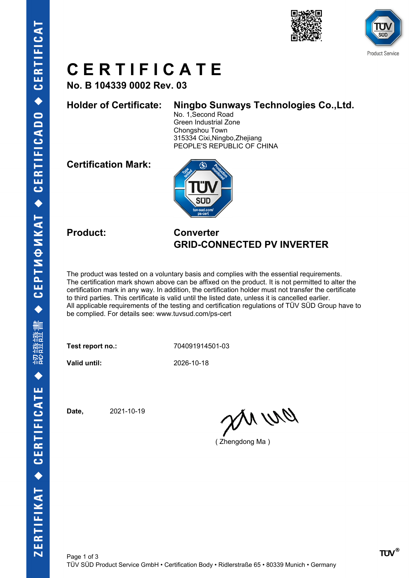



# **C E R T I F I C A T E**

**No. B 104339 0002 Rev. 03**

### **Holder of Certificate: Ningbo Sunways Technologies Co.,Ltd.**

No. 1,Second Road Green Industrial Zone Chongshou Town 315334 Cixi,Ningbo,Zhejiang PEOPLE'S REPUBLIC OF CHINA

**Certification Mark:**



#### **Product: Converter GRID-CONNECTED PV INVERTER**

The product was tested on a voluntary basis and complies with the essential requirements. The certification mark shown above can be affixed on the product. It is not permitted to alter the certification mark in any way. In addition, the certification holder must not transfer the certificate to third parties. This certificate is valid until the listed date, unless it is cancelled earlier. All applicable requirements of the testing and certification regulations of TÜV SÜD Group have to be complied. For details see: www.tuvsud.com/ps-cert

**Test report no.:** 704091914501-03

**Valid until:** 2026-10-18

**Date,** 2021-10-19

anvro

( Zhengdong Ma )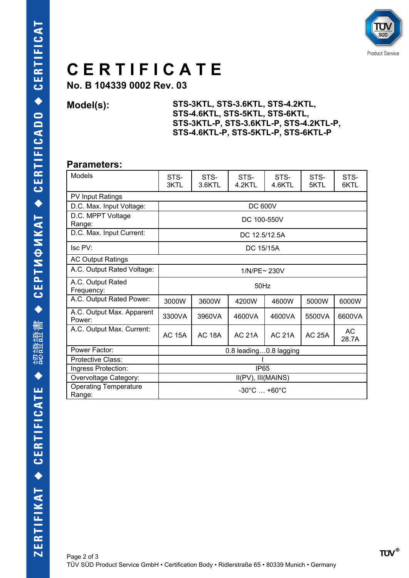

# **C E R T I F I C A T E**

**No. B 104339 0002 Rev. 03**

**Model(s): STS-3KTL, STS-3.6KTL, STS-4.2KTL, STS-4.6KTL, STS-5KTL, STS-6KTL, STS-3KTL-P, STS-3.6KTL-P, STS-4.2KTL-P, STS-4.6KTL-P, STS-5KTL-P, STS-6KTL-P**

#### **Parameters:**

| <b>Models</b>                          | STS-<br>3KTL                        | STS-<br>3.6KTL | STS-<br>4.2KTL | STS-<br>4.6KTL | STS-<br>5KTL  | STS-<br>6KTL |  |  |  |  |  |  |
|----------------------------------------|-------------------------------------|----------------|----------------|----------------|---------------|--------------|--|--|--|--|--|--|
| <b>PV Input Ratings</b>                |                                     |                |                |                |               |              |  |  |  |  |  |  |
| D.C. Max. Input Voltage:               | <b>DC 600V</b>                      |                |                |                |               |              |  |  |  |  |  |  |
| D.C. MPPT Voltage<br>Range:            | DC 100-550V                         |                |                |                |               |              |  |  |  |  |  |  |
| D.C. Max. Input Current:               | DC 12.5/12.5A                       |                |                |                |               |              |  |  |  |  |  |  |
| Isc PV:                                | DC 15/15A                           |                |                |                |               |              |  |  |  |  |  |  |
| <b>AC Output Ratings</b>               |                                     |                |                |                |               |              |  |  |  |  |  |  |
| A.C. Output Rated Voltage:             | 1/N/PE~ 230V                        |                |                |                |               |              |  |  |  |  |  |  |
| A.C. Output Rated<br>Frequency:        | $50$ Hz                             |                |                |                |               |              |  |  |  |  |  |  |
| A.C. Output Rated Power:               | 3000W                               | 3600W          | 4200W          | 4600W          | 5000W         | 6000W        |  |  |  |  |  |  |
| A.C. Output Max. Apparent<br>Power:    | 3300VA                              | 3960VA         | 4600VA         | 4600VA         | 5500VA        | 6600VA       |  |  |  |  |  |  |
| A.C. Output Max. Current:              | <b>AC 15A</b>                       | <b>AC 18A</b>  | <b>AC 21A</b>  | <b>AC 21A</b>  | <b>AC 25A</b> | AC<br>28.7A  |  |  |  |  |  |  |
| Power Factor:                          | 0.8 leading0.8 lagging              |                |                |                |               |              |  |  |  |  |  |  |
| Protective Class:                      |                                     |                |                |                |               |              |  |  |  |  |  |  |
| Ingress Protection:                    | <b>IP65</b>                         |                |                |                |               |              |  |  |  |  |  |  |
| Overvoltage Category:                  | II(PV), III(MAINS)                  |                |                |                |               |              |  |  |  |  |  |  |
| <b>Operating Temperature</b><br>Range: | $-30^{\circ}$ C $$ +60 $^{\circ}$ C |                |                |                |               |              |  |  |  |  |  |  |